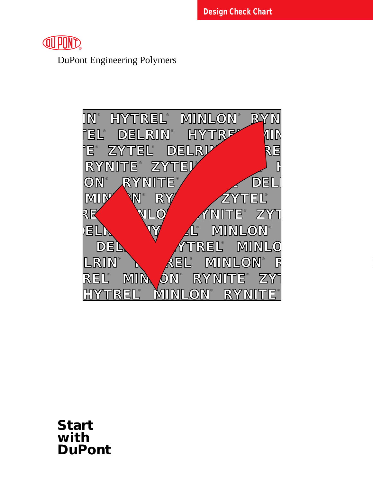

DuPont Engineering Polymers



**Start with DuPont**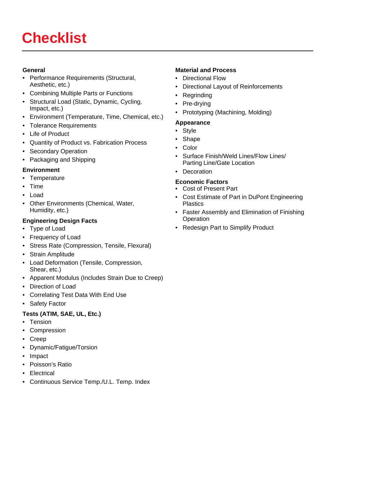# **Checklist**

#### **General**

- Performance Requirements (Structural, Aesthetic, etc.)
- Combining Multiple Parts or Functions
- Structural Load (Static, Dynamic, Cycling, Impact, etc.)
- Environment (Temperature, Time, Chemical, etc.)
- Tolerance Requirements
- Life of Product
- Quantity of Product vs. Fabrication Process
- Secondary Operation
- Packaging and Shipping

#### **Environment**

- Temperature
- Time
- Load
- Other Environments (Chemical, Water, Humidity, etc.)

#### **Engineering Design Facts**

- Type of Load
- Frequency of Load
- Stress Rate (Compression, Tensile, Flexural)
- Strain Amplitude
- Load Deformation (Tensile, Compression, Shear, etc.)
- Apparent Modulus (Includes Strain Due to Creep)
- Direction of Load
- Correlating Test Data With End Use
- Safety Factor

#### **Tests (ATIM, SAE, UL, Etc.)**

- Tension
- Compression
- Creep
- Dynamic/Fatigue/Torsion
- Impact
- Poisson's Ratio
- Electrical
- Continuous Service Temp./U.L. Temp. Index

### **Material and Process**

- Directional Flow
- Directional Layout of Reinforcements
- Regrinding
- Pre-drying
- Prototyping (Machining, Molding)

#### **Appearance**

- Style
- Shape
- Color
- Surface Finish/Weld Lines/Flow Lines/ Parting Line/Gate Location
- Decoration

#### **Economic Factors**

- Cost of Present Part
- Cost Estimate of Part in DuPont Engineering Plastics
- Faster Assembly and Elimination of Finishing **Operation**
- Redesign Part to Simplify Product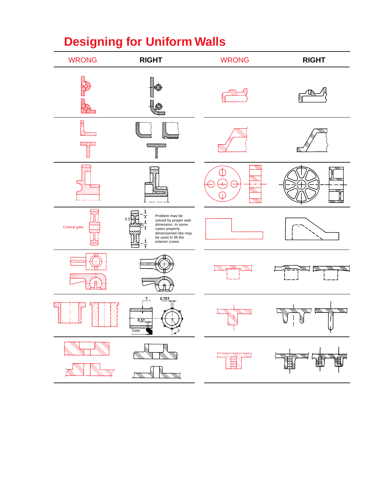# **Designing for Uniform Walls**

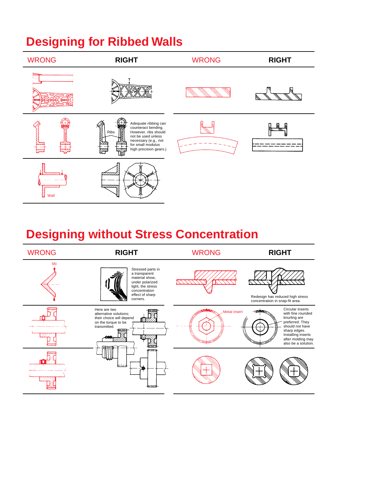# **Designing for Ribbed Walls**



# **Designing without Stress Concentration**

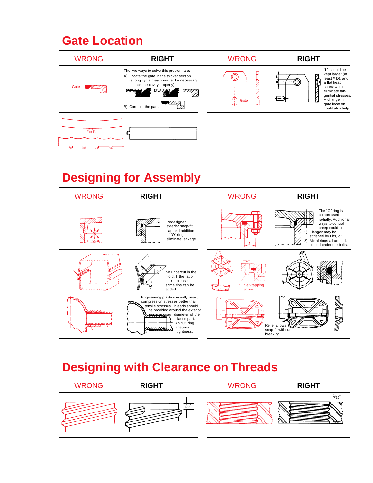### **Gate Location**



# **Designing for Assembly**



### **Designing with Clearance on Threads**